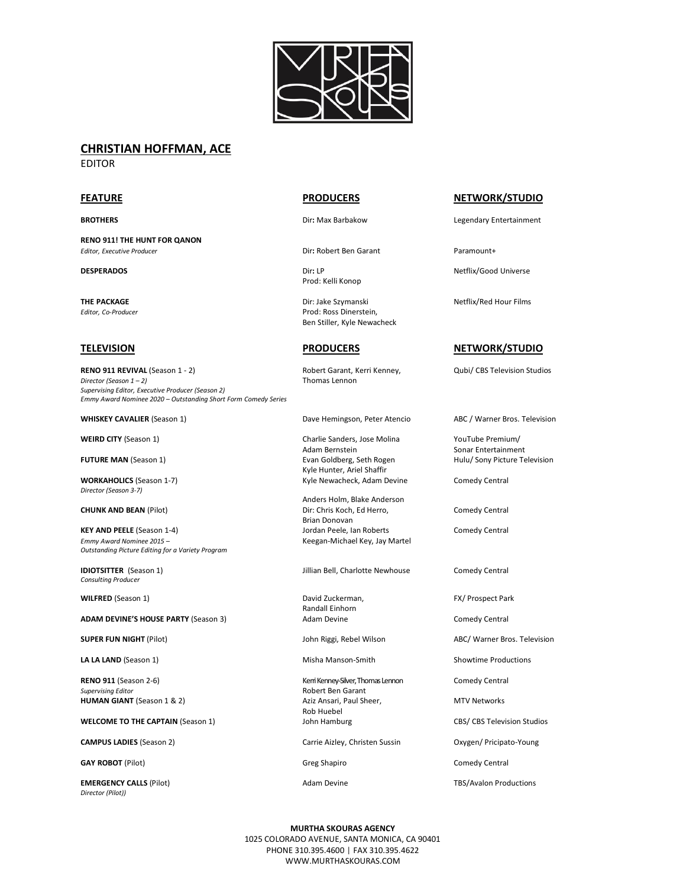

# **CHRISTIAN HOFFMAN, ACE**

EDITOR

**RENO 911! THE HUNT FOR QANON** *Editor, Executive Producer* Dir**:** Robert Ben Garant Paramount+

**RENO 911 REVIVAL** (Season 1 - 2) **Robert Garant, Kerri Kenney,** Qubi/ CBS Television Studios *Director (Season 1 – 2)* Thomas Lennon *Supervising Editor, Executive Producer (Season 2) Emmy Award Nominee 2020 – Outstanding Short Form Comedy Series*

*Director (Season 3-7)*

**KEY AND PEELE** (Season 1-4) **Season 1-4** Jordan Peele, Ian Roberts Comedy Central *Emmy Award Nominee 2015 –* Keegan-Michael Key, Jay Martel *Outstanding Picture Editing for a Variety Program* 

*Consulting Producer*

**WILFRED** (Season 1) **David Zuckerman, FX/ Prospect Park** Park 1991)

**ADAM DEVINE'S HOUSE PARTY** (Season 3) Adam Devine Comedy Central Comedy Central

**SUPER FUN NIGHT** (Pilot) **SUPER FUN NIGHT** (Pilot) **John Riggi, Rebel Wilson** ABC/ Warner Bros. Television

**LA LA LAND** (Season 1) **Misha Manson-Smith** Showtime Productions

*Supervising Editor* **Contains Edition Contains Contains Contains Contains Proport Ben Garant Report Ben Garant Ben Garant Ben Garant Ben Garant Ben Garant Ben Garant Ben Garant Ben Garant Ben Garant Ben Garant Ben Garant HUMAN GIANT** (Season 1 & 2) Aziz Ansari, Paul Sheer, MTV Networks

**WELCOME TO THE CAPTAIN** (Season 1) John Hamburg CBS/ CBS Television Studios

**GAY ROBOT** (Pilot) **Greg Shapiro** Greg Shapiro Comedy Central

**EMERGENCY CALLS** (Pilot) **Adam Devine** Adam Devine TBS/Avalon Productions *Director (Pilot))*

Prod: Kelli Konop

**THE PACKAGE EXECUTE: JOINTLE SET ASSESSED FOR A PARTICLE OF STATE OF STATE OF STATE OF STATE OF STATE OF STATE OF STATE OF STATE OF STATE OF STATE OF STATE OF STATE OF STATE OF STATE OF STATE OF STATE OF STATE OF STATE** *Editor, Co-Producer* Prod: Ross Dinerstein, Ben Stiller, Kyle Newacheck

WHISKEY CAVALIER (Season 1) **Dave Hemingson, Peter Atencio** ABC / Warner Bros. Television

**WEIRD CITY** (Season 1) Charlie Sanders, Jose Molina 70 YouTube Premium/<br>Adam Bernstein 70 Sonar Entertainmer **FUTURE MAN** (Season 1) **EVALUATE SEXIC EVAN GOLD** Evan Goldberg, Seth Rogen Hulu/ Sony Picture Television Kyle Hunter, Ariel Shaffir **WORKAHOLICS** (Season 1-7) Kyle Newacheck, Adam Devine Comedy Central

Anders Holm, Blake Anderson **CHUNK AND BEAN (Pilot) Dir: Chris Koch, Ed Herro, Comedy Central** Dir: Chris Koch, Ed Herro, Brian Donovan<br>Jordan Peele, Ian Roberts

**IDIOTSITTER** (Season 1) Jillian Bell, Charlotte Newhouse Comedy Central

Randall Einhorn

**RENO 911** (Season 2-6) **Kerri Kenney-Silver, Thomas Lennon** Comedy Central Comedy Central Rob Huebel

**CAMPUS LADIES** (Season 2) Carrie Aizley, Christen Sussin Oxygen/ Pricipato-Young

## **FEATURE PRODUCERS NETWORK/STUDIO**

**BROTHERS BROTHERS Dir:** Max Barbakow **Legendary Entertainment** 

**DESPERADOS Diricle Community Community Community Community Community Community Community Community Community Community Community Community Community Community Community Community Community Community Community Community** 

## **TELEVISION PRODUCERS NETWORK/STUDIO**

Sonar Entertainment

**MURTHA SKOURAS AGENCY** 1025 COLORADO AVENUE, SANTA MONICA, CA 90401 PHONE 310.395.4600 | FAX 310.395.4622 WWW.MURTHASKOURAS.COM